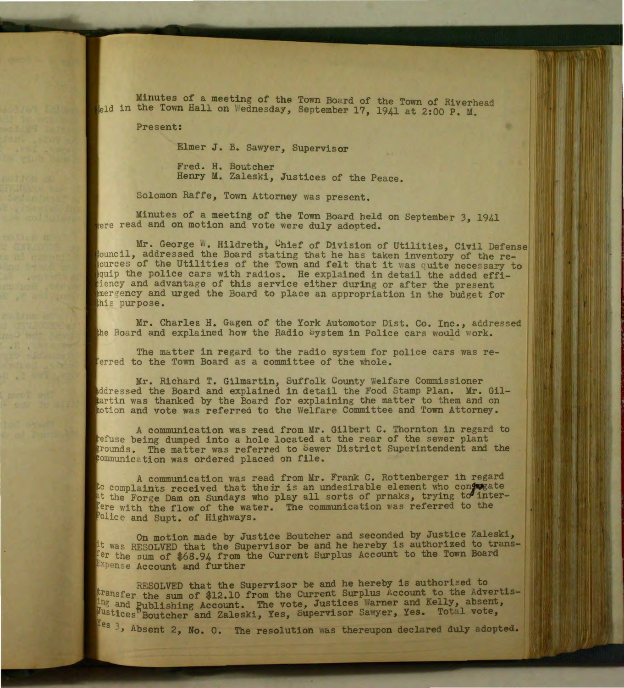Minutes of a meeting of the Town Board of the Town of Riverhead leld in the Town Hall on Wednesday, September 17, 1941 at 2:00 P.M.

Present:

Elmer J. B. Sawyer, Supervisor

Fred. H. Boutcher Henry M. Zaleski, Justices of the Peace.

Solomon Raffe, Town Attorney was present.

Minutes of a meeting of the Town Board held on September 3, 1941 ere read and on motion and vote were duly adopted.

Mr. George W. Hildreth, Chief of Division of Utilities, Civil Defense jouncil, addressed the Board stating that he has taken inventory of the reources of the Utilities of the Town and felt that it was quite necessary to quip the police cars with radios. He explained in detail the added effiiency and advantage of this service either during or after the present mergency and urged the Board to place an appropriation in the budget for this purpose.

Mr. Charles H. Gagen of the York Automotor Dist. Co. Inc., addressed the Board and explained how the Radio bystem in Police cars would work.

The matter in regard to the radio system for police cars was referred to the Town Board as a committee of the whole.

Mr. Richard T. Gilmartin, Suffolk County Welfare Commissioner Addressed the Board and explained in detail the Food Stamp Plan. Mr. Gilpartin was thanked by the Board for explaining the matter to them and on action and vote was referred to the Welfare Committee and Town Attorney.

A communication was read from Mr. Gilbert C. Thornton in regard to refuse being dumped into a hole located at the rear of the sewer plant grounds. The matter was referred to Sewer District Superintendent and the communication was ordered placed on file.

A communication was read from Mr. Frank C. Rottenberger in regard to complaints received that their is an undesirable element who conjugate t the For.ge Dam on Sundays who play all sorts of prnaks, trying *td'* inter-Fere with the flow of the water. The communication was referred to the Police and Supt. of Highways.

On motion made by Justice Boutcher and seconded by Justice Zaleski, it was RESOLVED that the Supervisor be and he hereby is authorized to transfer the sum of \$68.94 from the Current Surplus Account to the Town Board Expense Account and further

RESOLVED that the Supervisor be and he hereby is authorized to transfer the sum of \$12.10 from the Current Surplus Account to the Advertisand Publishing Account. The vote, Justices Warner and Kelly, absent, tices Boutcher and Zaleski, Yes, Supervisor Sawyer, Yes. Total vote,

 $Ies$  3, Absent 2, No. 0. The resolution was thereupon declared duly adopted.